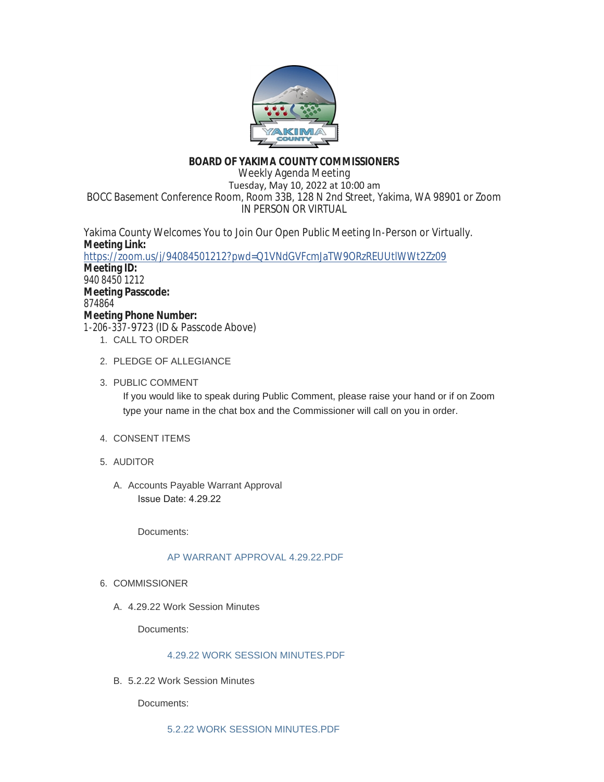

# **BOARD OF YAKIMA COUNTY COMMISSIONERS**

Weekly Agenda Meeting Tuesday, May 10, 2022 at 10:00 am BOCC Basement Conference Room, Room 33B, 128 N 2nd Street, Yakima, WA 98901 or Zoom IN PERSON OR VIRTUAL

Yakima County Welcomes You to Join Our Open Public Meeting In-Person or Virtually. **Meeting Link:** <https://zoom.us/j/94084501212?pwd=Q1VNdGVFcmJaTW9ORzREUUtlWWt2Zz09> **Meeting ID:** 940 8450 1212 **Meeting Passcode:** 874864 **Meeting Phone Number:** 1-206-337-9723 (ID & Passcode Above) 1. CALL TO ORDER

- 2. PLEDGE OF ALLEGIANCE
- 3. PUBLIC COMMENT

If you would like to speak during Public Comment, please raise your hand or if on Zoom type your name in the chat box and the Commissioner will call on you in order.

- 4. CONSENT ITEMS
- AUDITOR 5.
	- A. Accounts Payable Warrant Approval Issue Date: 4.29.22

Documents:

# [AP WARRANT APPROVAL 4.29.22.PDF](https://www.yakimacounty.us/AgendaCenter/ViewFile/Item/4399?fileID=16157)

- 6. COMMISSIONER
	- 4.29.22 Work Session Minutes A.

Documents:

# [4.29.22 WORK SESSION MINUTES.PDF](https://www.yakimacounty.us/AgendaCenter/ViewFile/Item/4384?fileID=16151)

5.2.22 Work Session Minutes B.

Documents: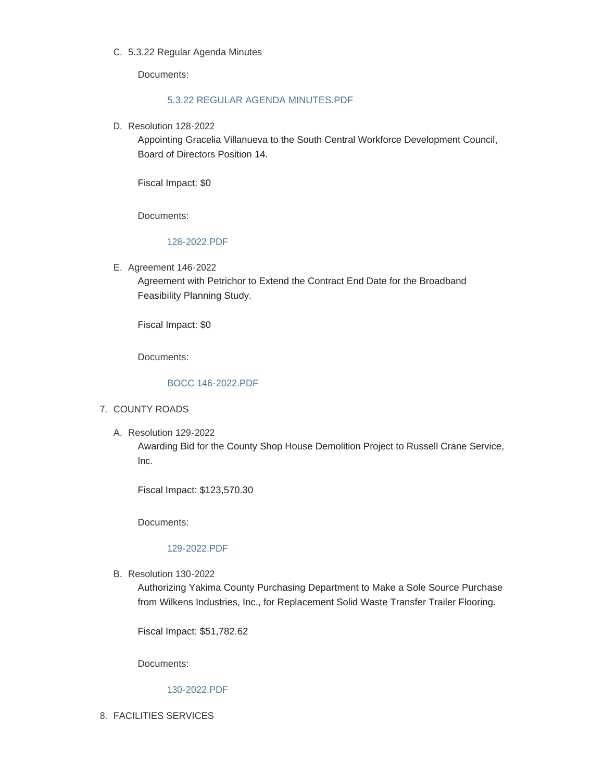## 5.3.22 Regular Agenda Minutes C.

Documents:

## [5.3.22 REGULAR AGENDA MINUTES.PDF](https://www.yakimacounty.us/AgendaCenter/ViewFile/Item/4386?fileID=16153)

D. Resolution 128-2022

Appointing Gracelia Villanueva to the South Central Workforce Development Council, Board of Directors Position 14.

Fiscal Impact: \$0

Documents:

## [128-2022.PDF](https://www.yakimacounty.us/AgendaCenter/ViewFile/Item/4388?fileID=16154)

E. Agreement 146-2022

Agreement with Petrichor to Extend the Contract End Date for the Broadband Feasibility Planning Study.

Fiscal Impact: \$0

Documents:

#### [BOCC 146-2022.PDF](https://www.yakimacounty.us/AgendaCenter/ViewFile/Item/4389?fileID=16155)

#### 7. COUNTY ROADS

Resolution 129-2022 A.

Awarding Bid for the County Shop House Demolition Project to Russell Crane Service, Inc.

Fiscal Impact: \$123,570.30

Documents:

### [129-2022.PDF](https://www.yakimacounty.us/AgendaCenter/ViewFile/Item/4390?fileID=16156)

B. Resolution 130-2022

Authorizing Yakima County Purchasing Department to Make a Sole Source Purchase from Wilkens Industries, Inc., for Replacement Solid Waste Transfer Trailer Flooring.

Fiscal Impact: \$51,782.62

Documents:

# [130-2022.PDF](https://www.yakimacounty.us/AgendaCenter/ViewFile/Item/4406?fileID=16161)

FACILITIES SERVICES 8.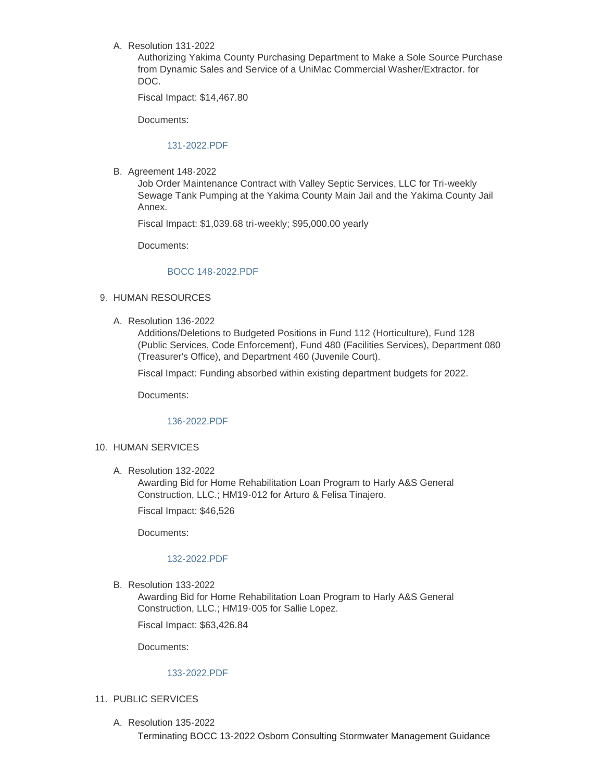Resolution 131-2022 A.

Authorizing Yakima County Purchasing Department to Make a Sole Source Purchase from Dynamic Sales and Service of a UniMac Commercial Washer/Extractor. for DOC.

Fiscal Impact: \$14,467.80

Documents:

#### [131-2022.PDF](https://www.yakimacounty.us/AgendaCenter/ViewFile/Item/4402?fileID=16162)

**B.** Agreement 148-2022

Job Order Maintenance Contract with Valley Septic Services, LLC for Tri-weekly Sewage Tank Pumping at the Yakima County Main Jail and the Yakima County Jail Annex.

Fiscal Impact: \$1,039.68 tri-weekly; \$95,000.00 yearly

Documents:

#### [BOCC 148-2022.PDF](https://www.yakimacounty.us/AgendaCenter/ViewFile/Item/4401?fileID=16159)

### 9. HUMAN RESOURCES

Resolution 136-2022 A.

Additions/Deletions to Budgeted Positions in Fund 112 (Horticulture), Fund 128 (Public Services, Code Enforcement), Fund 480 (Facilities Services), Department 080 (Treasurer's Office), and Department 460 (Juvenile Court).

Fiscal Impact: Funding absorbed within existing department budgets for 2022.

Documents:

#### [136-2022.PDF](https://www.yakimacounty.us/AgendaCenter/ViewFile/Item/4403?fileID=16167)

### 10. HUMAN SERVICES

Resolution 132-2022 A.

Awarding Bid for Home Rehabilitation Loan Program to Harly A&S General Construction, LLC.; HM19-012 for Arturo & Felisa Tinajero.

Fiscal Impact: \$46,526

Documents:

#### [132-2022.PDF](https://www.yakimacounty.us/AgendaCenter/ViewFile/Item/4404?fileID=16163)

B. Resolution 133-2022

Awarding Bid for Home Rehabilitation Loan Program to Harly A&S General Construction, LLC.; HM19-005 for Sallie Lopez.

Fiscal Impact: \$63,426.84

Documents:

#### [133-2022.PDF](https://www.yakimacounty.us/AgendaCenter/ViewFile/Item/4405?fileID=16164)

- 11. PUBLIC SERVICES
	- Resolution 135-2022 A.

Terminating BOCC 13-2022 Osborn Consulting Stormwater Management Guidance